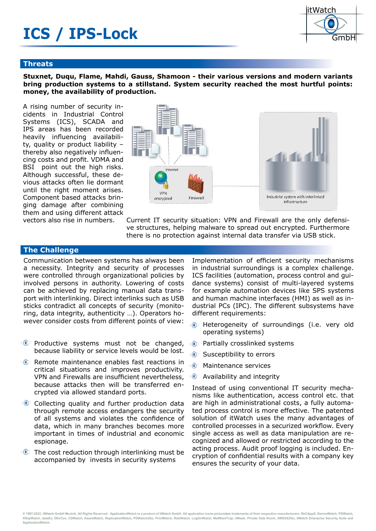# **ICS / IPS-Lock**



#### **Threats**

**Stuxnet, Duqu, Flame, Mahdi, Gauss, Shamoon - their various versions and modern variants bring production systems to a stillstand. System security reached the most hurtful points: money, the availability of production.** 

A rising number of security incidents in Industrial Control Systems (ICS), SCADA and IPS areas has been recorded heavily influencing availability, quality or product liability – thereby also negatively influencing costs and profit. VDMA and BSI point out the high risks. Although successful, these devious attacks often lie dormant until the right moment arises. Component based attacks bringing damage after combining them and using different attack vectors also rise in numbers.



Current IT security situation: VPN and Firewall are the only defensive structures, helping malware to spread out encrypted. Furthermore there is no protection against internal data transfer via USB stick.

## **The Challenge**

Communication between systems has always been a necessity. Integrity and security of processes were controlled through organizational policies by involved persons in authority. Lowering of costs can be achieved by replacing manual data transport with interlinking. Direct interlinks such as USB sticks contradict all concepts of security (monitoring, data integrity, authenticity …). Operators however consider costs from different points of view:

- **Productive systems must not be changed,** because liability or service levels would be lost.
- **EXECUTE:** Remote maintenance enables fast reactions in critical situations and improves productivity. VPN and Firewalls are insufficient nevertheless. because attacks then will be transferred encrypted via allowed standard ports.
- **Collecting quality and further production data** through remote access endangers the security of all systems and violates the confidence of data, which in many branches becomes more important in times of industrial and economic espionage.
- $\circled{1}$  The cost reduction through interlinking must be accompanied by invests in security systems

Implementation of efficient security mechanisms in industrial surroundings is a complex challenge. ICS facilities (automation, process control and guidance systems) consist of multi-layered systems for example automation devices like SPS systems and human machine interfaces (HMI) as well as industrial PCs (IPC). The different subsystems have different requirements:

- Heterogeneity of surroundings (i.e. very old জি operating systems)
- Partially crosslinked systems  $\circ$
- $^{\circ}$ Susceptibility to errors
- $\textcolor{blue}{\textcolor{blue}{\textbf{0}}}$ Maintenance services
- **Example 2** Availability and integrity

Instead of using conventional IT security mechanisms like authentication, access control etc. that are high in administrational costs, a fully automated process control is more effective. The patented solution of itWatch uses the many advantages of controlled processes in a securized workflow. Every single access as well as data manipulation are recognized and allowed or restricted according to the acting process. Audit proof logging is included. Encryption of confidential results with a company key ensures the security of your data.

© 1997-2022, itWatch GmbH Munich, All Rights Recerved. ApplicationWatch is a product of itWatch GmbH. All application icons picturedare trademarks of their respective manufacturers. ReCAppS, DeviceWatch, PDWatch, .<br>XRayWatch, dataEx, DEvCon, CDWatch, AwareWatch, ReplicationWatch, PDWatch2Go, PrintWatch, RiskWatch, LogOnWatch, MalWareTrap, itWash, Private Data Room, itWESS2Go, itWatch Enterprise Security Suite and **ApplicationWatch.**